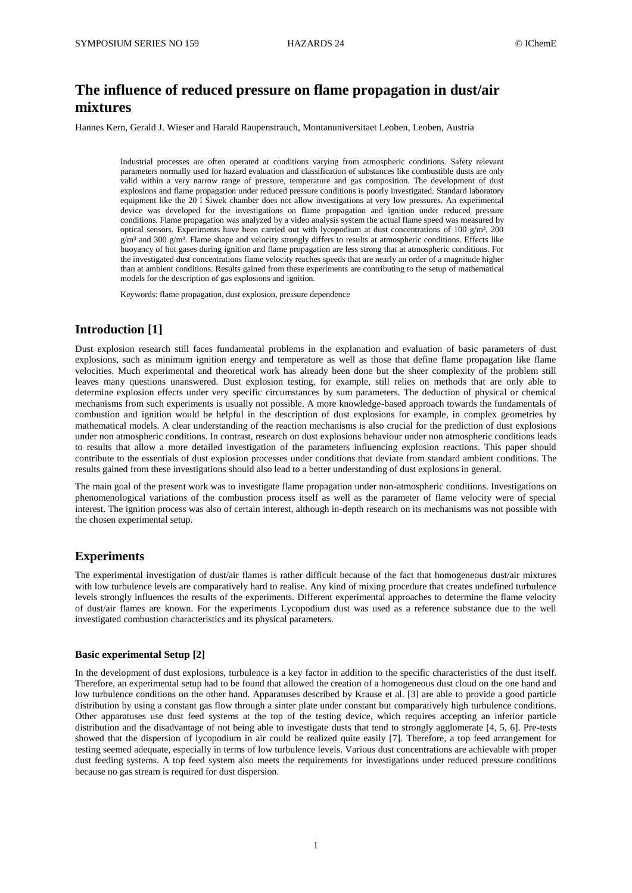# **The influence of reduced pressure on flame propagation in dust/air mixtures**

Hannes Kern, Gerald J. Wieser and Harald Raupenstrauch, Montanuniversitaet Leoben, Leoben, Austria

Industrial processes are often operated at conditions varying from atmospheric conditions. Safety relevant parameters normally used for hazard evaluation and classification of substances like combustible dusts are only valid within a very narrow range of pressure, temperature and gas composition. The development of dust explosions and flame propagation under reduced pressure conditions is poorly investigated. Standard laboratory equipment like the 20 l Siwek chamber does not allow investigations at very low pressures. An experimental device was developed for the investigations on flame propagation and ignition under reduced pressure conditions. Flame propagation was analyzed by a video analysis system the actual flame speed was measured by optical sensors. Experiments have been carried out with lycopodium at dust concentrations of 100 g/m<sup>3</sup>, 200  $g/m<sup>3</sup>$  and 300  $g/m<sup>3</sup>$ . Flame shape and velocity strongly differs to results at atmospheric conditions. Effects like buoyancy of hot gases during ignition and flame propagation are less strong that at atmospheric conditions. For the investigated dust concentrations flame velocity reaches speeds that are nearly an order of a magnitude higher than at ambient conditions. Results gained from these experiments are contributing to the setup of mathematical models for the description of gas explosions and ignition.

Keywords: flame propagation, dust explosion, pressure dependence

# **Introduction [1]**

Dust explosion research still faces fundamental problems in the explanation and evaluation of basic parameters of dust explosions, such as minimum ignition energy and temperature as well as those that define flame propagation like flame velocities. Much experimental and theoretical work has already been done but the sheer complexity of the problem still leaves many questions unanswered. Dust explosion testing, for example, still relies on methods that are only able to determine explosion effects under very specific circumstances by sum parameters. The deduction of physical or chemical mechanisms from such experiments is usually not possible. A more knowledge-based approach towards the fundamentals of combustion and ignition would be helpful in the description of dust explosions for example, in complex geometries by mathematical models. A clear understanding of the reaction mechanisms is also crucial for the prediction of dust explosions under non atmospheric conditions. In contrast, research on dust explosions behaviour under non atmospheric conditions leads to results that allow a more detailed investigation of the parameters influencing explosion reactions. This paper should contribute to the essentials of dust explosion processes under conditions that deviate from standard ambient conditions. The results gained from these investigations should also lead to a better understanding of dust explosions in general.

The main goal of the present work was to investigate flame propagation under non-atmospheric conditions. Investigations on phenomenological variations of the combustion process itself as well as the parameter of flame velocity were of special interest. The ignition process was also of certain interest, although in-depth research on its mechanisms was not possible with the chosen experimental setup.

#### **Experiments**

The experimental investigation of dust/air flames is rather difficult because of the fact that homogeneous dust/air mixtures with low turbulence levels are comparatively hard to realise. Any kind of mixing procedure that creates undefined turbulence levels strongly influences the results of the experiments. Different experimental approaches to determine the flame velocity of dust/air flames are known. For the experiments Lycopodium dust was used as a reference substance due to the well investigated combustion characteristics and its physical parameters.

#### **Basic experimental Setup [2]**

In the development of dust explosions, turbulence is a key factor in addition to the specific characteristics of the dust itself. Therefore, an experimental setup had to be found that allowed the creation of a homogeneous dust cloud on the one hand and low turbulence conditions on the other hand. Apparatuses described by Krause et al. [3] are able to provide a good particle distribution by using a constant gas flow through a sinter plate under constant but comparatively high turbulence conditions. Other apparatuses use dust feed systems at the top of the testing device, which requires accepting an inferior particle distribution and the disadvantage of not being able to investigate dusts that tend to strongly agglomerate [4, 5, 6]. Pre-tests showed that the dispersion of lycopodium in air could be realized quite easily [7]. Therefore, a top feed arrangement for testing seemed adequate, especially in terms of low turbulence levels. Various dust concentrations are achievable with proper dust feeding systems. A top feed system also meets the requirements for investigations under reduced pressure conditions because no gas stream is required for dust dispersion.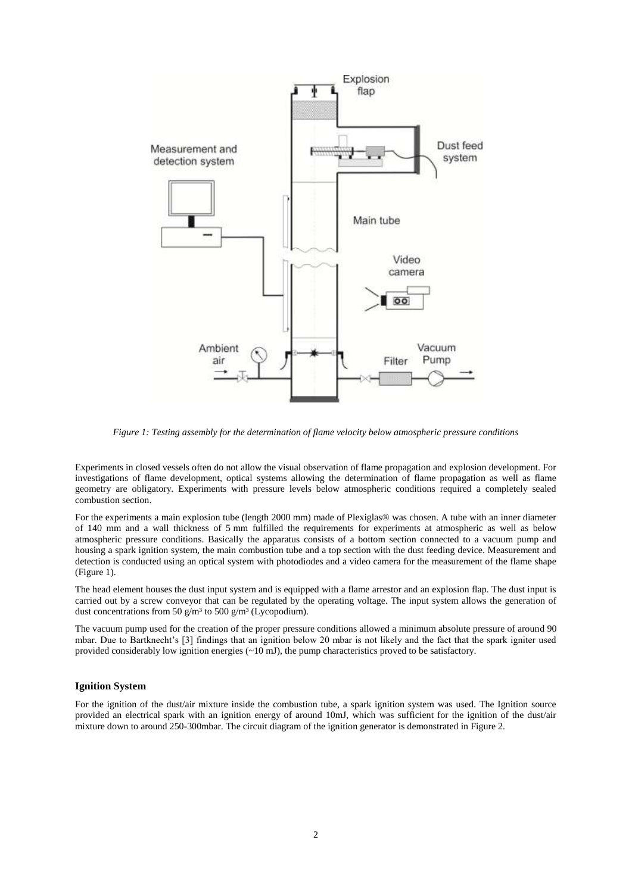

*Figure 1: Testing assembly for the determination of flame velocity below atmospheric pressure conditions*

Experiments in closed vessels often do not allow the visual observation of flame propagation and explosion development. For investigations of flame development, optical systems allowing the determination of flame propagation as well as flame geometry are obligatory. Experiments with pressure levels below atmospheric conditions required a completely sealed combustion section.

For the experiments a main explosion tube (length 2000 mm) made of Plexiglas® was chosen. A tube with an inner diameter of 140 mm and a wall thickness of 5 mm fulfilled the requirements for experiments at atmospheric as well as below atmospheric pressure conditions. Basically the apparatus consists of a bottom section connected to a vacuum pump and housing a spark ignition system, the main combustion tube and a top section with the dust feeding device. Measurement and detection is conducted using an optical system with photodiodes and a video camera for the measurement of the flame shape (Figure 1).

The head element houses the dust input system and is equipped with a flame arrestor and an explosion flap. The dust input is carried out by a screw conveyor that can be regulated by the operating voltage. The input system allows the generation of dust concentrations from 50 g/m<sup>3</sup> to 500 g/m<sup>3</sup> (Lycopodium).

The vacuum pump used for the creation of the proper pressure conditions allowed a minimum absolute pressure of around 90 mbar. Due to Bartknecht's [3] findings that an ignition below 20 mbar is not likely and the fact that the spark igniter used provided considerably low ignition energies  $(-10 \text{ mJ})$ , the pump characteristics proved to be satisfactory.

#### **Ignition System**

For the ignition of the dust/air mixture inside the combustion tube, a spark ignition system was used. The Ignition source provided an electrical spark with an ignition energy of around 10mJ, which was sufficient for the ignition of the dust/air mixture down to around 250-300mbar. The circuit diagram of the ignition generator is demonstrated in Figure 2.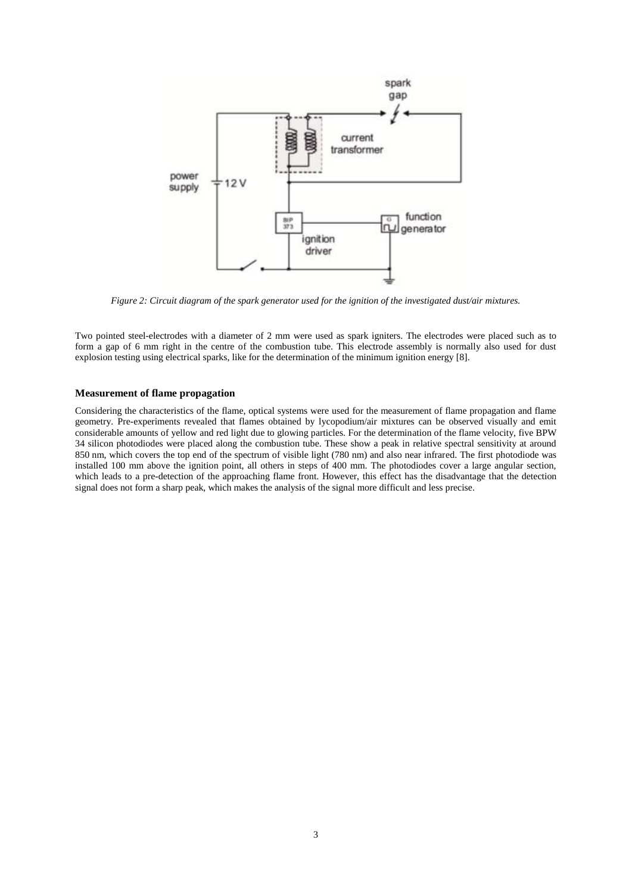

*Figure 2: Circuit diagram of the spark generator used for the ignition of the investigated dust/air mixtures.*

Two pointed steel-electrodes with a diameter of 2 mm were used as spark igniters. The electrodes were placed such as to form a gap of 6 mm right in the centre of the combustion tube. This electrode assembly is normally also used for dust explosion testing using electrical sparks, like for the determination of the minimum ignition energy [8].

### **Measurement of flame propagation**

Considering the characteristics of the flame, optical systems were used for the measurement of flame propagation and flame geometry. Pre-experiments revealed that flames obtained by lycopodium/air mixtures can be observed visually and emit considerable amounts of yellow and red light due to glowing particles. For the determination of the flame velocity, five BPW 34 silicon photodiodes were placed along the combustion tube. These show a peak in relative spectral sensitivity at around 850 nm, which covers the top end of the spectrum of visible light (780 nm) and also near infrared. The first photodiode was installed 100 mm above the ignition point, all others in steps of 400 mm. The photodiodes cover a large angular section, which leads to a pre-detection of the approaching flame front. However, this effect has the disadvantage that the detection signal does not form a sharp peak, which makes the analysis of the signal more difficult and less precise.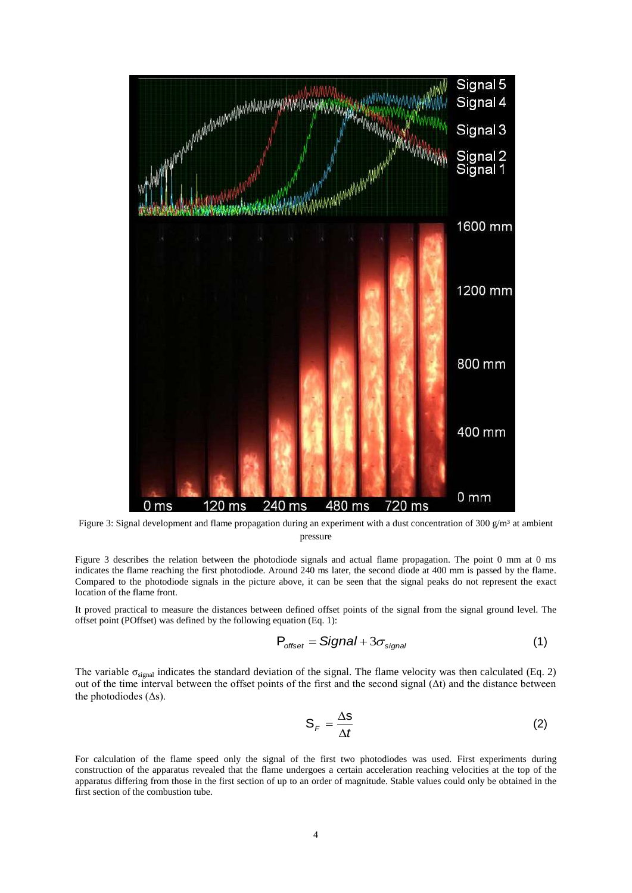

Figure 3: Signal development and flame propagation during an experiment with a dust concentration of 300  $g/m<sup>3</sup>$  at ambient pressure

Figure 3 describes the relation between the photodiode signals and actual flame propagation. The point 0 mm at 0 ms indicates the flame reaching the first photodiode. Around 240 ms later, the second diode at 400 mm is passed by the flame. Compared to the photodiode signals in the picture above, it can be seen that the signal peaks do not represent the exact location of the flame front.

It proved practical to measure the distances between defined offset points of the signal from the signal ground level. The offset point (POffset) was defined by the following equation (Eq. 1):

$$
P_{offset} = Signal + 3\sigma_{signal} \tag{1}
$$

The variable  $\sigma_{\text{signal}}$  indicates the standard deviation of the signal. The flame velocity was then calculated (Eq. 2) out of the time interval between the offset points of the first and the second signal  $(\Delta t)$  and the distance between the photodiodes  $( \Delta s)$ .

$$
S_F = \frac{\Delta S}{\Delta t} \tag{2}
$$

For calculation of the flame speed only the signal of the first two photodiodes was used. First experiments during construction of the apparatus revealed that the flame undergoes a certain acceleration reaching velocities at the top of the apparatus differing from those in the first section of up to an order of magnitude. Stable values could only be obtained in the first section of the combustion tube.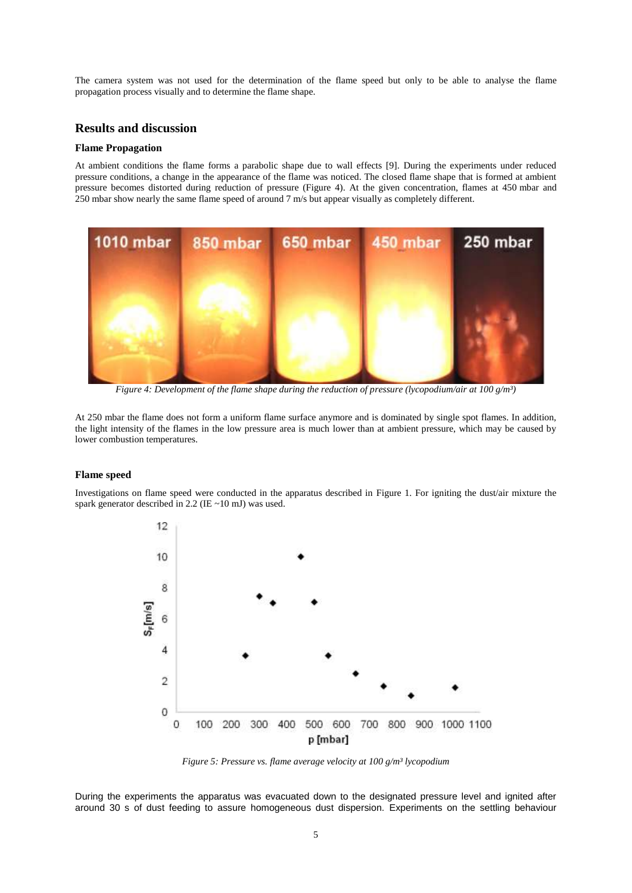The camera system was not used for the determination of the flame speed but only to be able to analyse the flame propagation process visually and to determine the flame shape.

# **Results and discussion**

### **Flame Propagation**

At ambient conditions the flame forms a parabolic shape due to wall effects [9]. During the experiments under reduced pressure conditions, a change in the appearance of the flame was noticed. The closed flame shape that is formed at ambient pressure becomes distorted during reduction of pressure (Figure 4). At the given concentration, flames at 450 mbar and 250 mbar show nearly the same flame speed of around 7 m/s but appear visually as completely different.



*Figure 4: Development of the flame shape during the reduction of pressure (lycopodium/air at 100 g/m³)*

At 250 mbar the flame does not form a uniform flame surface anymore and is dominated by single spot flames. In addition, the light intensity of the flames in the low pressure area is much lower than at ambient pressure, which may be caused by lower combustion temperatures.

#### **Flame speed**

Investigations on flame speed were conducted in the apparatus described in Figure 1. For igniting the dust/air mixture the spark generator described in 2.2 (IE ~10 mJ) was used.



*Figure 5: Pressure vs. flame average velocity at 100 g/m³ lycopodium*

During the experiments the apparatus was evacuated down to the designated pressure level and ignited after around 30 s of dust feeding to assure homogeneous dust dispersion. Experiments on the settling behaviour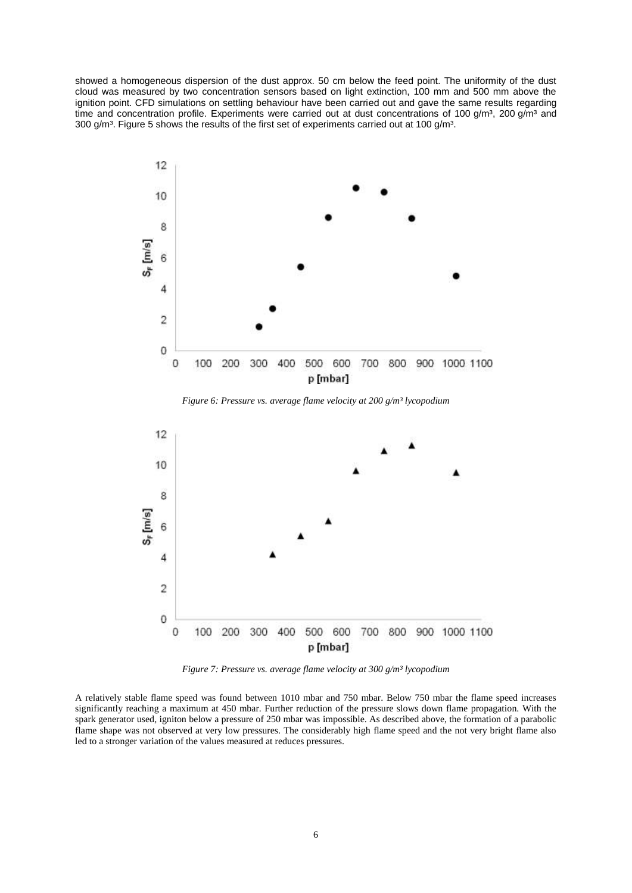showed a homogeneous dispersion of the dust approx. 50 cm below the feed point. The uniformity of the dust cloud was measured by two concentration sensors based on light extinction, 100 mm and 500 mm above the ignition point. CFD simulations on settling behaviour have been carried out and gave the same results regarding time and concentration profile. Experiments were carried out at dust concentrations of 100 g/m<sup>3</sup>, 200 g/m<sup>3</sup> and 300  $q/m<sup>3</sup>$ . Figure 5 shows the results of the first set of experiments carried out at 100  $q/m<sup>3</sup>$ .



*Figure 6: Pressure vs. average flame velocity at 200 g/m³ lycopodium*



*Figure 7: Pressure vs. average flame velocity at 300 g/m³ lycopodium*

A relatively stable flame speed was found between 1010 mbar and 750 mbar. Below 750 mbar the flame speed increases significantly reaching a maximum at 450 mbar. Further reduction of the pressure slows down flame propagation. With the spark generator used, igniton below a pressure of 250 mbar was impossible. As described above, the formation of a parabolic flame shape was not observed at very low pressures. The considerably high flame speed and the not very bright flame also led to a stronger variation of the values measured at reduces pressures.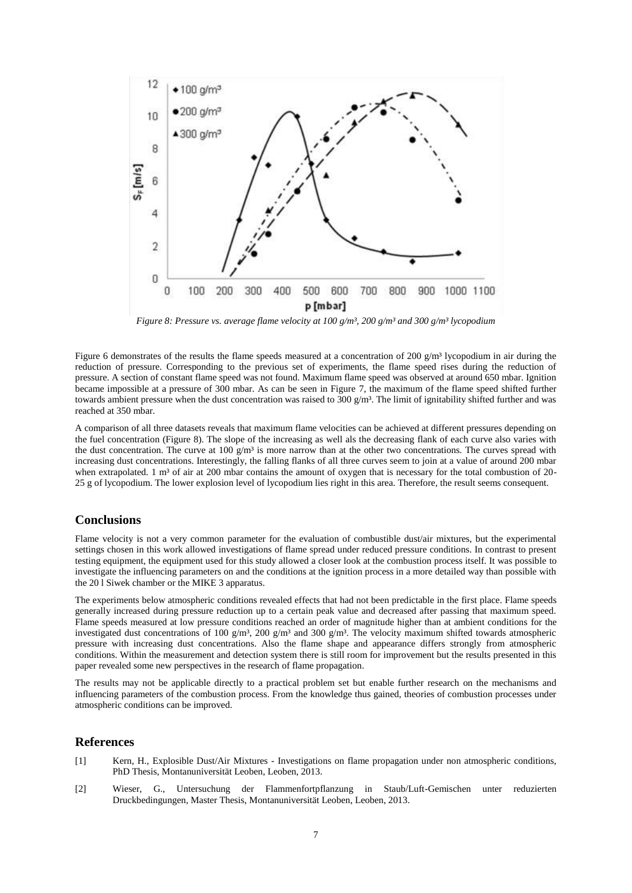

*Figure 8: Pressure vs. average flame velocity at 100 g/m<sup>3</sup>, 200 g/m<sup>3</sup> and 300 g/m<sup>3</sup> lycopodium* 

Figure 6 demonstrates of the results the flame speeds measured at a concentration of 200  $g/m<sup>3</sup>$  lycopodium in air during the reduction of pressure. Corresponding to the previous set of experiments, the flame speed rises during the reduction of pressure. A section of constant flame speed was not found. Maximum flame speed was observed at around 650 mbar. Ignition became impossible at a pressure of 300 mbar. As can be seen in Figure 7, the maximum of the flame speed shifted further towards ambient pressure when the dust concentration was raised to  $300 \text{ g/m}^3$ . The limit of ignitability shifted further and was reached at 350 mbar.

A comparison of all three datasets reveals that maximum flame velocities can be achieved at different pressures depending on the fuel concentration (Figure 8). The slope of the increasing as well als the decreasing flank of each curve also varies with the dust concentration. The curve at 100  $\frac{g}{m^3}$  is more narrow than at the other two concentrations. The curves spread with increasing dust concentrations. Interestingly, the falling flanks of all three curves seem to join at a value of around 200 mbar when extrapolated. 1 m<sup>3</sup> of air at 200 mbar contains the amount of oxygen that is necessary for the total combustion of 20-25 g of lycopodium. The lower explosion level of lycopodium lies right in this area. Therefore, the result seems consequent.

# **Conclusions**

Flame velocity is not a very common parameter for the evaluation of combustible dust/air mixtures, but the experimental settings chosen in this work allowed investigations of flame spread under reduced pressure conditions. In contrast to present testing equipment, the equipment used for this study allowed a closer look at the combustion process itself. It was possible to investigate the influencing parameters on and the conditions at the ignition process in a more detailed way than possible with the 20 l Siwek chamber or the MIKE 3 apparatus.

The experiments below atmospheric conditions revealed effects that had not been predictable in the first place. Flame speeds generally increased during pressure reduction up to a certain peak value and decreased after passing that maximum speed. Flame speeds measured at low pressure conditions reached an order of magnitude higher than at ambient conditions for the investigated dust concentrations of 100 g/m<sup>3</sup>, 200 g/m<sup>3</sup> and 300 g/m<sup>3</sup>. The velocity maximum shifted towards atmospheric pressure with increasing dust concentrations. Also the flame shape and appearance differs strongly from atmospheric conditions. Within the measurement and detection system there is still room for improvement but the results presented in this paper revealed some new perspectives in the research of flame propagation.

The results may not be applicable directly to a practical problem set but enable further research on the mechanisms and influencing parameters of the combustion process. From the knowledge thus gained, theories of combustion processes under atmospheric conditions can be improved.

## **References**

- [1] Kern, H., Explosible Dust/Air Mixtures Investigations on flame propagation under non atmospheric conditions, PhD Thesis, Montanuniversität Leoben, Leoben, 2013.
- [2] Wieser, G., Untersuchung der Flammenfortpflanzung in Staub/Luft-Gemischen unter reduzierten Druckbedingungen, Master Thesis, Montanuniversität Leoben, Leoben, 2013.